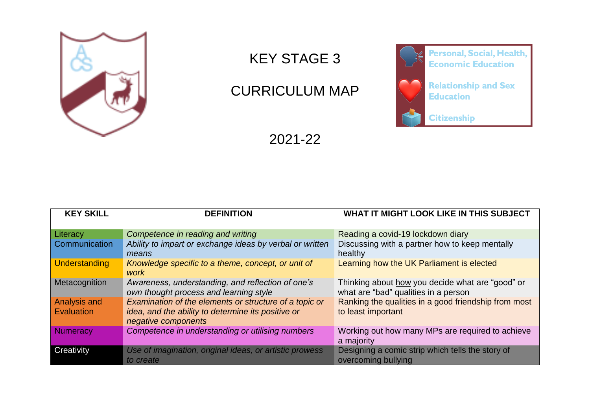

## KEY STAGE 3

## CURRICULUM MAP



2021-22

| <b>KEY SKILL</b>                  | <b>DEFINITION</b>                                                                                                                   | <b>WHAT IT MIGHT LOOK LIKE IN THIS SUBJECT</b>                                           |
|-----------------------------------|-------------------------------------------------------------------------------------------------------------------------------------|------------------------------------------------------------------------------------------|
| Literacy                          | Competence in reading and writing                                                                                                   | Reading a covid-19 lockdown diary                                                        |
| <b>Communication</b>              | Ability to impart or exchange ideas by verbal or written<br>means                                                                   | Discussing with a partner how to keep mentally<br>healthy                                |
| <b>Understanding</b>              | Knowledge specific to a theme, concept, or unit of<br>work                                                                          | Learning how the UK Parliament is elected                                                |
| Metacognition                     | Awareness, understanding, and reflection of one's<br>own thought process and learning style                                         | Thinking about how you decide what are "good" or<br>what are "bad" qualities in a person |
| <b>Analysis and</b><br>Evaluation | Examination of the elements or structure of a topic or<br>idea, and the ability to determine its positive or<br>negative components | Ranking the qualities in a good friendship from most<br>to least important               |
| Numeracy                          | Competence in understanding or utilising numbers                                                                                    | Working out how many MPs are required to achieve<br>a majority                           |
| Creativity                        | Use of imagination, original ideas, or artistic prowess<br>to create                                                                | Designing a comic strip which tells the story of<br>overcoming bullying                  |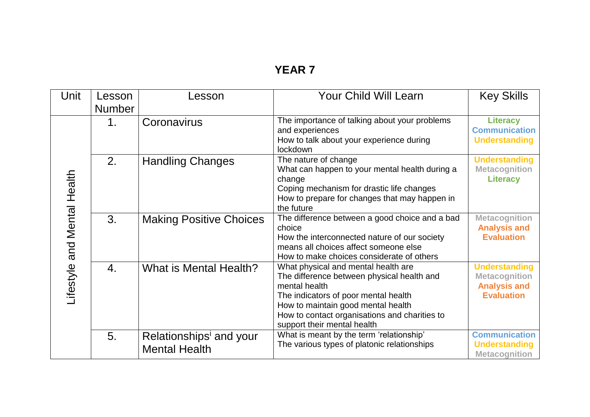## **YEAR 7**

| Unit                        | Lesson<br><b>Number</b> | Lesson                                          | <b>Your Child Will Learn</b>                                                                                                                                                                                                                                     | <b>Key Skills</b>                                                                        |
|-----------------------------|-------------------------|-------------------------------------------------|------------------------------------------------------------------------------------------------------------------------------------------------------------------------------------------------------------------------------------------------------------------|------------------------------------------------------------------------------------------|
|                             | 1.                      | Coronavirus                                     | The importance of talking about your problems<br>and experiences<br>How to talk about your experience during<br>lockdown                                                                                                                                         | <b>Literacy</b><br><b>Communication</b><br><b>Understanding</b>                          |
|                             | 2.                      | <b>Handling Changes</b>                         | The nature of change<br>What can happen to your mental health during a<br>change<br>Coping mechanism for drastic life changes<br>How to prepare for changes that may happen in<br>the future                                                                     | <b>Understanding</b><br><b>Metacognition</b><br><b>Literacy</b>                          |
| Lifestyle and Mental Health | 3.                      | <b>Making Positive Choices</b>                  | The difference between a good choice and a bad<br>choice<br>How the interconnected nature of our society<br>means all choices affect someone else<br>How to make choices considerate of others                                                                   | <b>Metacognition</b><br><b>Analysis and</b><br><b>Evaluation</b>                         |
|                             | $\overline{4}$ .        | What is Mental Health?                          | What physical and mental health are<br>The difference between physical health and<br>mental health<br>The indicators of poor mental health<br>How to maintain good mental health<br>How to contact organisations and charities to<br>support their mental health | <b>Understanding</b><br><b>Metacognition</b><br><b>Analysis and</b><br><b>Evaluation</b> |
|                             | 5.                      | Relationships' and your<br><b>Mental Health</b> | What is meant by the term 'relationship'<br>The various types of platonic relationships                                                                                                                                                                          | <b>Communication</b><br><b>Understanding</b><br><b>Metacognition</b>                     |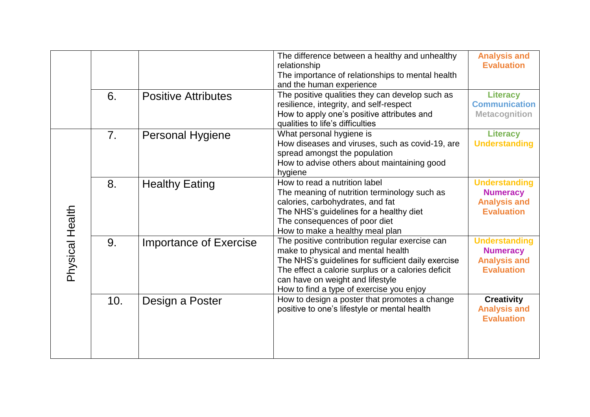|                 |                  |                               | The difference between a healthy and unhealthy<br>relationship<br>The importance of relationships to mental health<br>and the human experience                                                                                                                                   | <b>Analysis and</b><br><b>Evaluation</b>                                            |
|-----------------|------------------|-------------------------------|----------------------------------------------------------------------------------------------------------------------------------------------------------------------------------------------------------------------------------------------------------------------------------|-------------------------------------------------------------------------------------|
|                 | 6.               | <b>Positive Attributes</b>    | The positive qualities they can develop such as<br>resilience, integrity, and self-respect<br>How to apply one's positive attributes and<br>qualities to life's difficulties                                                                                                     | <b>Literacy</b><br><b>Communication</b><br><b>Metacognition</b>                     |
|                 | $\overline{7}$ . | <b>Personal Hygiene</b>       | What personal hygiene is<br>How diseases and viruses, such as covid-19, are<br>spread amongst the population<br>How to advise others about maintaining good<br>hygiene                                                                                                           | <b>Literacy</b><br><b>Understanding</b>                                             |
|                 | 8.               | <b>Healthy Eating</b>         | How to read a nutrition label<br>The meaning of nutrition terminology such as<br>calories, carbohydrates, and fat<br>The NHS's guidelines for a healthy diet<br>The consequences of poor diet<br>How to make a healthy meal plan                                                 | <b>Understanding</b><br><b>Numeracy</b><br><b>Analysis and</b><br><b>Evaluation</b> |
| Physical Health | 9.               | <b>Importance of Exercise</b> | The positive contribution regular exercise can<br>make to physical and mental health<br>The NHS's guidelines for sufficient daily exercise<br>The effect a calorie surplus or a calories deficit<br>can have on weight and lifestyle<br>How to find a type of exercise you enjoy | <b>Understanding</b><br><b>Numeracy</b><br><b>Analysis and</b><br><b>Evaluation</b> |
|                 | 10.              | Design a Poster               | How to design a poster that promotes a change<br>positive to one's lifestyle or mental health                                                                                                                                                                                    | <b>Creativity</b><br><b>Analysis and</b><br><b>Evaluation</b>                       |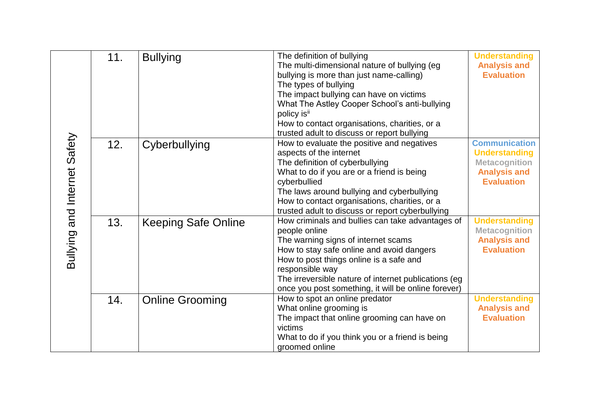|                              | 11. | <b>Bullying</b>            | The definition of bullying<br>The multi-dimensional nature of bullying (eg<br>bullying is more than just name-calling)<br>The types of bullying<br>The impact bullying can have on victims<br>What The Astley Cooper School's anti-bullying<br>policy is <sup>ii</sup><br>How to contact organisations, charities, or a<br>trusted adult to discuss or report bullying | <b>Understanding</b><br><b>Analysis and</b><br><b>Evaluation</b>                                                 |
|------------------------------|-----|----------------------------|------------------------------------------------------------------------------------------------------------------------------------------------------------------------------------------------------------------------------------------------------------------------------------------------------------------------------------------------------------------------|------------------------------------------------------------------------------------------------------------------|
| Bullying and Internet Safety | 12. | Cyberbullying              | How to evaluate the positive and negatives<br>aspects of the internet<br>The definition of cyberbullying<br>What to do if you are or a friend is being<br>cyberbullied<br>The laws around bullying and cyberbullying<br>How to contact organisations, charities, or a<br>trusted adult to discuss or report cyberbullying                                              | <b>Communication</b><br><b>Understanding</b><br><b>Metacognition</b><br><b>Analysis and</b><br><b>Evaluation</b> |
|                              | 13. | <b>Keeping Safe Online</b> | How criminals and bullies can take advantages of<br>people online<br>The warning signs of internet scams<br>How to stay safe online and avoid dangers<br>How to post things online is a safe and<br>responsible way<br>The irreversible nature of internet publications (eg<br>once you post something, it will be online forever)                                     | <b>Understanding</b><br><b>Metacognition</b><br><b>Analysis and</b><br><b>Evaluation</b>                         |
|                              | 14. | <b>Online Grooming</b>     | How to spot an online predator<br>What online grooming is<br>The impact that online grooming can have on<br>victims<br>What to do if you think you or a friend is being<br>groomed online                                                                                                                                                                              | <b>Understanding</b><br><b>Analysis and</b><br><b>Evaluation</b>                                                 |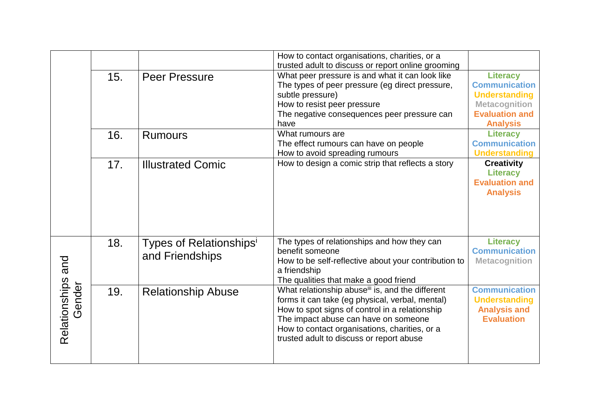|                             |     |                                                        | How to contact organisations, charities, or a<br>trusted adult to discuss or report online grooming                                                                                                                                                                                      |                                                                                                                                     |
|-----------------------------|-----|--------------------------------------------------------|------------------------------------------------------------------------------------------------------------------------------------------------------------------------------------------------------------------------------------------------------------------------------------------|-------------------------------------------------------------------------------------------------------------------------------------|
|                             | 15. | <b>Peer Pressure</b>                                   | What peer pressure is and what it can look like<br>The types of peer pressure (eg direct pressure,<br>subtle pressure)<br>How to resist peer pressure<br>The negative consequences peer pressure can<br>have                                                                             | <b>Literacy</b><br><b>Communication</b><br><b>Understanding</b><br><b>Metacognition</b><br><b>Evaluation and</b><br><b>Analysis</b> |
|                             | 16. | <b>Rumours</b>                                         | What rumours are<br>The effect rumours can have on people<br>How to avoid spreading rumours                                                                                                                                                                                              | <b>Literacy</b><br><b>Communication</b><br><b>Understanding</b>                                                                     |
|                             | 17. | <b>Illustrated Comic</b>                               | How to design a comic strip that reflects a story                                                                                                                                                                                                                                        | <b>Creativity</b><br><b>Literacy</b><br><b>Evaluation and</b><br><b>Analysis</b>                                                    |
|                             | 18. | Types of Relationships <sup>i</sup><br>and Friendships | The types of relationships and how they can<br>benefit someone<br>How to be self-reflective about your contribution to<br>a friendship<br>The qualities that make a good friend                                                                                                          | <b>Literacy</b><br><b>Communication</b><br><b>Metacognition</b>                                                                     |
| Relationships and<br>Gender | 19. | <b>Relationship Abuse</b>                              | What relationship abusei is, and the different<br>forms it can take (eg physical, verbal, mental)<br>How to spot signs of control in a relationship<br>The impact abuse can have on someone<br>How to contact organisations, charities, or a<br>trusted adult to discuss or report abuse | <b>Communication</b><br><b>Understanding</b><br><b>Analysis and</b><br><b>Evaluation</b>                                            |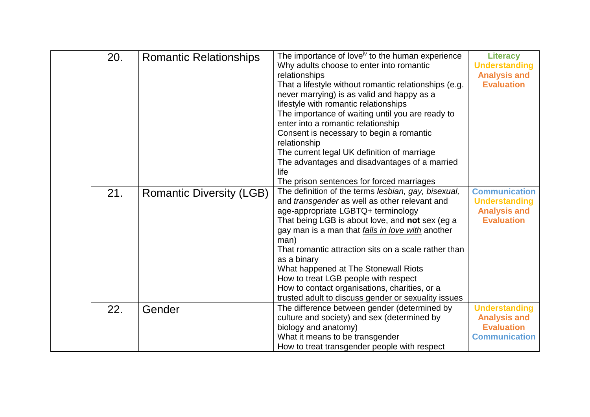| 20. | <b>Romantic Relationships</b>   | The importance of love <sup>iv</sup> to the human experience<br>Why adults choose to enter into romantic<br>relationships<br>That a lifestyle without romantic relationships (e.g.<br>never marrying) is as valid and happy as a<br>lifestyle with romantic relationships<br>The importance of waiting until you are ready to<br>enter into a romantic relationship<br>Consent is necessary to begin a romantic<br>relationship<br>The current legal UK definition of marriage<br>The advantages and disadvantages of a married<br>life<br>The prison sentences for forced marriages | <b>Literacy</b><br><b>Understanding</b><br><b>Analysis and</b><br><b>Evaluation</b>      |
|-----|---------------------------------|--------------------------------------------------------------------------------------------------------------------------------------------------------------------------------------------------------------------------------------------------------------------------------------------------------------------------------------------------------------------------------------------------------------------------------------------------------------------------------------------------------------------------------------------------------------------------------------|------------------------------------------------------------------------------------------|
| 21. | <b>Romantic Diversity (LGB)</b> | The definition of the terms lesbian, gay, bisexual,<br>and transgender as well as other relevant and<br>age-appropriate LGBTQ+ terminology<br>That being LGB is about love, and not sex (eg a<br>gay man is a man that <i>falls in love with</i> another<br>man)<br>That romantic attraction sits on a scale rather than<br>as a binary<br>What happened at The Stonewall Riots<br>How to treat LGB people with respect<br>How to contact organisations, charities, or a<br>trusted adult to discuss gender or sexuality issues                                                      | <b>Communication</b><br><b>Understanding</b><br><b>Analysis and</b><br><b>Evaluation</b> |
| 22. | Gender                          | The difference between gender (determined by<br>culture and society) and sex (determined by<br>biology and anatomy)<br>What it means to be transgender<br>How to treat transgender people with respect                                                                                                                                                                                                                                                                                                                                                                               | <b>Understanding</b><br><b>Analysis and</b><br><b>Evaluation</b><br><b>Communication</b> |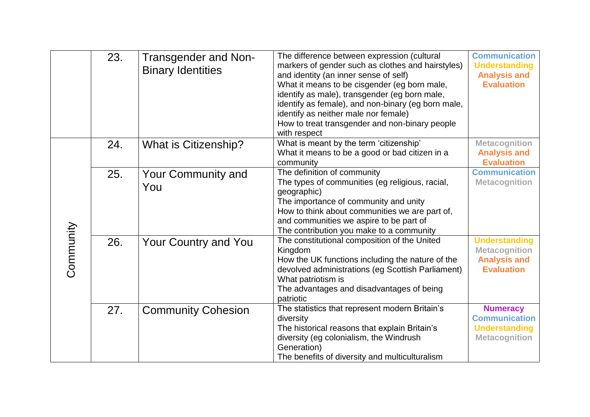|           | 23. | <b>Transgender and Non-</b><br><b>Binary Identities</b> | The difference between expression (cultural<br>markers of gender such as clothes and hairstyles)<br>and identity (an inner sense of self)<br>What it means to be cisgender (eg born male,<br>identify as male), transgender (eg born male,<br>identify as female), and non-binary (eg born male,<br>identify as neither male nor female)<br>How to treat transgender and non-binary people<br>with respect | <b>Communication</b><br><b>Understanding</b><br><b>Analysis and</b><br><b>Evaluation</b> |
|-----------|-----|---------------------------------------------------------|------------------------------------------------------------------------------------------------------------------------------------------------------------------------------------------------------------------------------------------------------------------------------------------------------------------------------------------------------------------------------------------------------------|------------------------------------------------------------------------------------------|
|           | 24. | What is Citizenship?                                    | What is meant by the term 'citizenship'<br>What it means to be a good or bad citizen in a<br>community                                                                                                                                                                                                                                                                                                     | <b>Metacognition</b><br><b>Analysis and</b><br><b>Evaluation</b>                         |
|           | 25. | <b>Your Community and</b><br>You                        | The definition of community<br>The types of communities (eg religious, racial,<br>geographic)<br>The importance of community and unity<br>How to think about communities we are part of,<br>and communities we aspire to be part of<br>The contribution you make to a community                                                                                                                            | <b>Communication</b><br><b>Metacognition</b>                                             |
| Community | 26. | <b>Your Country and You</b>                             | The constitutional composition of the United<br>Kingdom<br>How the UK functions including the nature of the<br>devolved administrations (eg Scottish Parliament)<br>What patriotism is<br>The advantages and disadvantages of being<br>patriotic                                                                                                                                                           | <b>Understanding</b><br><b>Metacognition</b><br><b>Analysis and</b><br><b>Evaluation</b> |
|           | 27. | <b>Community Cohesion</b>                               | The statistics that represent modern Britain's<br>diversity<br>The historical reasons that explain Britain's<br>diversity (eg colonialism, the Windrush<br>Generation)<br>The benefits of diversity and multiculturalism                                                                                                                                                                                   | <b>Numeracy</b><br><b>Communication</b><br><b>Understanding</b><br><b>Metacognition</b>  |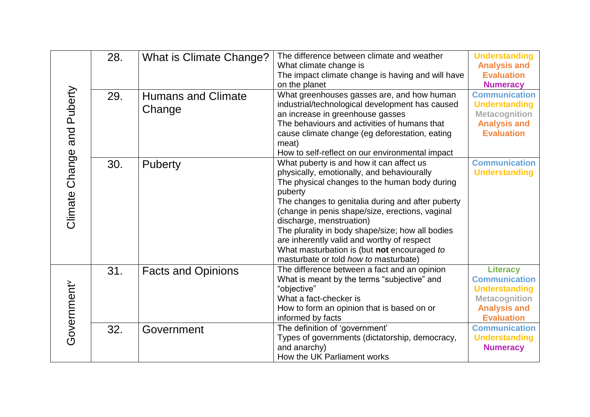|                | 28. | What is Climate Change?   | The difference between climate and weather<br>What climate change is | <b>Understanding</b><br><b>Analysis and</b> |
|----------------|-----|---------------------------|----------------------------------------------------------------------|---------------------------------------------|
|                |     |                           | The impact climate change is having and will have                    | <b>Evaluation</b>                           |
|                |     |                           | on the planet                                                        | <b>Numeracy</b>                             |
| and Puberty    | 29. | <b>Humans and Climate</b> | What greenhouses gasses are, and how human                           | <b>Communication</b>                        |
|                |     | Change                    | industrial/technological development has caused                      | <b>Understanding</b>                        |
|                |     |                           | an increase in greenhouse gasses                                     | <b>Metacognition</b>                        |
|                |     |                           | The behaviours and activities of humans that                         | <b>Analysis and</b>                         |
|                |     |                           | cause climate change (eg deforestation, eating                       | <b>Evaluation</b>                           |
|                |     |                           | meat)                                                                |                                             |
|                |     |                           | How to self-reflect on our environmental impact                      |                                             |
| Climate Change | 30. | Puberty                   | What puberty is and how it can affect us                             | <b>Communication</b>                        |
|                |     |                           | physically, emotionally, and behaviourally                           | <b>Understanding</b>                        |
|                |     |                           | The physical changes to the human body during                        |                                             |
|                |     |                           | puberty                                                              |                                             |
|                |     |                           | The changes to genitalia during and after puberty                    |                                             |
|                |     |                           | (change in penis shape/size, erections, vaginal                      |                                             |
|                |     |                           | discharge, menstruation)                                             |                                             |
|                |     |                           | The plurality in body shape/size; how all bodies                     |                                             |
|                |     |                           | are inherently valid and worthy of respect                           |                                             |
|                |     |                           | What masturbation is (but not encouraged to                          |                                             |
|                |     |                           | masturbate or told how to masturbate)                                |                                             |
|                | 31. | <b>Facts and Opinions</b> | The difference between a fact and an opinion                         | <b>Literacy</b>                             |
|                |     |                           | What is meant by the terms "subjective" and                          | <b>Communication</b>                        |
|                |     |                           | "objective"                                                          | <b>Understanding</b>                        |
|                |     |                           | What a fact-checker is                                               | <b>Metacognition</b>                        |
|                |     |                           | How to form an opinion that is based on or                           | <b>Analysis and</b>                         |
|                |     |                           | informed by facts                                                    | <b>Evaluation</b>                           |
|                | 32. | Government                | The definition of 'government'                                       | <b>Communication</b>                        |
| Government     |     |                           | Types of governments (dictatorship, democracy,                       | <b>Understanding</b>                        |
|                |     |                           | and anarchy)                                                         | <b>Numeracy</b>                             |
|                |     |                           | How the UK Parliament works                                          |                                             |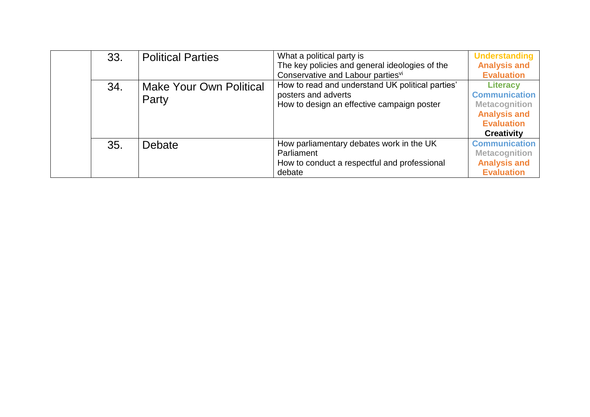| 33. | <b>Political Parties</b>                | What a political party is<br>The key policies and general ideologies of the<br>Conservative and Labour partiesvi      | <b>Understanding</b><br><b>Analysis and</b><br><b>Evaluation</b>                                                                 |
|-----|-----------------------------------------|-----------------------------------------------------------------------------------------------------------------------|----------------------------------------------------------------------------------------------------------------------------------|
| 34. | <b>Make Your Own Political</b><br>Party | How to read and understand UK political parties'<br>posters and adverts<br>How to design an effective campaign poster | <b>Literacy</b><br><b>Communication</b><br><b>Metacognition</b><br><b>Analysis and</b><br><b>Evaluation</b><br><b>Creativity</b> |
| 35. | Debate                                  | How parliamentary debates work in the UK<br>Parliament<br>How to conduct a respectful and professional<br>debate      | <b>Communication</b><br><b>Metacognition</b><br><b>Analysis and</b><br><b>Evaluation</b>                                         |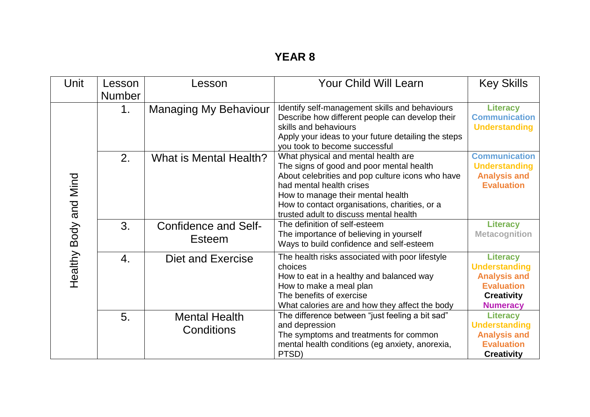| Unit                  | Lesson<br><b>Number</b> | Lesson                                       | <b>Your Child Will Learn</b>                                                                                                                                                                                                                                                                    | <b>Key Skills</b>                                                                                                           |
|-----------------------|-------------------------|----------------------------------------------|-------------------------------------------------------------------------------------------------------------------------------------------------------------------------------------------------------------------------------------------------------------------------------------------------|-----------------------------------------------------------------------------------------------------------------------------|
|                       | 1.                      | <b>Managing My Behaviour</b>                 | Identify self-management skills and behaviours<br>Describe how different people can develop their<br>skills and behaviours<br>Apply your ideas to your future detailing the steps<br>you took to become successful                                                                              | <b>Literacy</b><br><b>Communication</b><br><b>Understanding</b>                                                             |
| Healthy Body and Mind | 2.                      | What is Mental Health?                       | What physical and mental health are<br>The signs of good and poor mental health<br>About celebrities and pop culture icons who have<br>had mental health crises<br>How to manage their mental health<br>How to contact organisations, charities, or a<br>trusted adult to discuss mental health | <b>Communication</b><br><b>Understanding</b><br><b>Analysis and</b><br><b>Evaluation</b>                                    |
|                       | 3.                      | <b>Confidence and Self-</b><br><b>Esteem</b> | The definition of self-esteem<br>The importance of believing in yourself<br>Ways to build confidence and self-esteem                                                                                                                                                                            | <b>Literacy</b><br><b>Metacognition</b>                                                                                     |
|                       | $\overline{4}$ .        | Diet and Exercise                            | The health risks associated with poor lifestyle<br>choices<br>How to eat in a healthy and balanced way<br>How to make a meal plan<br>The benefits of exercise<br>What calories are and how they affect the body                                                                                 | <b>Literacy</b><br><b>Understanding</b><br><b>Analysis and</b><br><b>Evaluation</b><br><b>Creativity</b><br><b>Numeracy</b> |
|                       | 5.                      | <b>Mental Health</b><br>Conditions           | The difference between "just feeling a bit sad"<br>and depression<br>The symptoms and treatments for common<br>mental health conditions (eg anxiety, anorexia,<br>PTSD)                                                                                                                         | <b>Literacy</b><br><b>Understanding</b><br><b>Analysis and</b><br><b>Evaluation</b><br><b>Creativity</b>                    |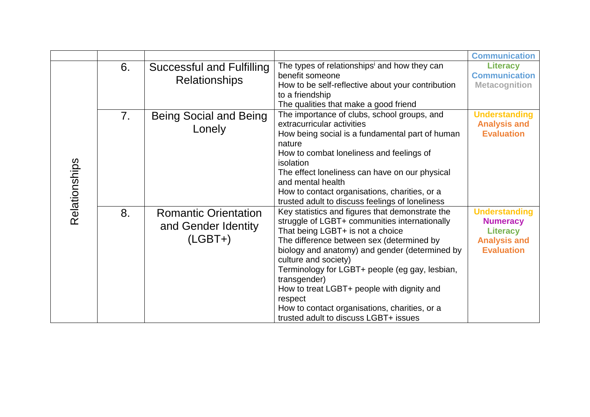|               |                |                             |                                                          | <b>Communication</b> |
|---------------|----------------|-----------------------------|----------------------------------------------------------|----------------------|
|               | 6.             | Successful and Fulfilling   | The types of relationships <sup>i</sup> and how they can | <b>Literacy</b>      |
|               |                | <b>Relationships</b>        | benefit someone                                          | <b>Communication</b> |
|               |                |                             | How to be self-reflective about your contribution        | <b>Metacognition</b> |
|               |                |                             | to a friendship                                          |                      |
|               |                |                             | The qualities that make a good friend                    |                      |
|               | 7 <sub>1</sub> | Being Social and Being      | The importance of clubs, school groups, and              | <b>Understanding</b> |
|               |                | Lonely                      | extracurricular activities                               | <b>Analysis and</b>  |
|               |                |                             | How being social is a fundamental part of human          | <b>Evaluation</b>    |
|               |                |                             | nature                                                   |                      |
|               |                |                             | How to combat loneliness and feelings of                 |                      |
|               |                |                             | isolation                                                |                      |
|               |                |                             | The effect loneliness can have on our physical           |                      |
| Relationships |                |                             | and mental health                                        |                      |
|               |                |                             | How to contact organisations, charities, or a            |                      |
|               |                |                             | trusted adult to discuss feelings of loneliness          |                      |
|               | 8.             | <b>Romantic Orientation</b> | Key statistics and figures that demonstrate the          | <b>Understanding</b> |
|               |                | and Gender Identity         | struggle of LGBT+ communities internationally            | <b>Numeracy</b>      |
|               |                |                             | That being LGBT+ is not a choice                         | <b>Literacy</b>      |
|               |                | $(LGBT+)$                   | The difference between sex (determined by                | <b>Analysis and</b>  |
|               |                |                             | biology and anatomy) and gender (determined by           | <b>Evaluation</b>    |
|               |                |                             | culture and society)                                     |                      |
|               |                |                             | Terminology for LGBT+ people (eg gay, lesbian,           |                      |
|               |                |                             | transgender)                                             |                      |
|               |                |                             | How to treat LGBT+ people with dignity and               |                      |
|               |                |                             | respect                                                  |                      |
|               |                |                             | How to contact organisations, charities, or a            |                      |
|               |                |                             | trusted adult to discuss LGBT+ issues                    |                      |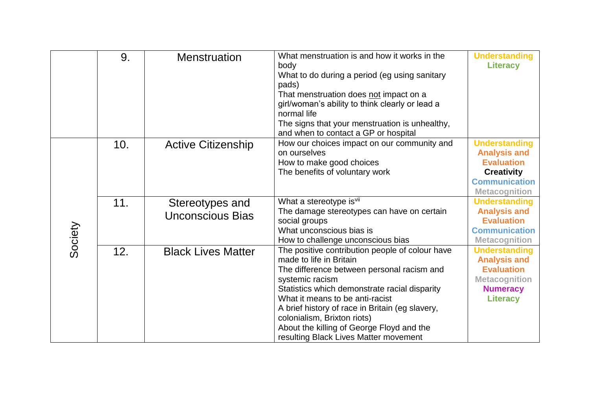|         | 9.  | <b>Menstruation</b>                        | What menstruation is and how it works in the<br>body<br>What to do during a period (eg using sanitary<br>pads)<br>That menstruation does not impact on a<br>girl/woman's ability to think clearly or lead a<br>normal life<br>The signs that your menstruation is unhealthy,<br>and when to contact a GP or hospital                                                                                    | <b>Understanding</b><br><b>Literacy</b>                                                                                               |
|---------|-----|--------------------------------------------|---------------------------------------------------------------------------------------------------------------------------------------------------------------------------------------------------------------------------------------------------------------------------------------------------------------------------------------------------------------------------------------------------------|---------------------------------------------------------------------------------------------------------------------------------------|
|         | 10. | <b>Active Citizenship</b>                  | How our choices impact on our community and<br>on ourselves<br>How to make good choices<br>The benefits of voluntary work                                                                                                                                                                                                                                                                               | <b>Understanding</b><br><b>Analysis and</b><br><b>Evaluation</b><br><b>Creativity</b><br><b>Communication</b><br><b>Metacognition</b> |
| Society | 11. | Stereotypes and<br><b>Unconscious Bias</b> | What a stereotype is <sup>vii</sup><br>The damage stereotypes can have on certain<br>social groups<br>What unconscious bias is<br>How to challenge unconscious bias                                                                                                                                                                                                                                     | <b>Understanding</b><br><b>Analysis and</b><br><b>Evaluation</b><br><b>Communication</b><br><b>Metacognition</b>                      |
|         | 12. | <b>Black Lives Matter</b>                  | The positive contribution people of colour have<br>made to life in Britain<br>The difference between personal racism and<br>systemic racism<br>Statistics which demonstrate racial disparity<br>What it means to be anti-racist<br>A brief history of race in Britain (eg slavery,<br>colonialism, Brixton riots)<br>About the killing of George Floyd and the<br>resulting Black Lives Matter movement | <b>Understanding</b><br><b>Analysis and</b><br><b>Evaluation</b><br><b>Metacognition</b><br><b>Numeracy</b><br><b>Literacy</b>        |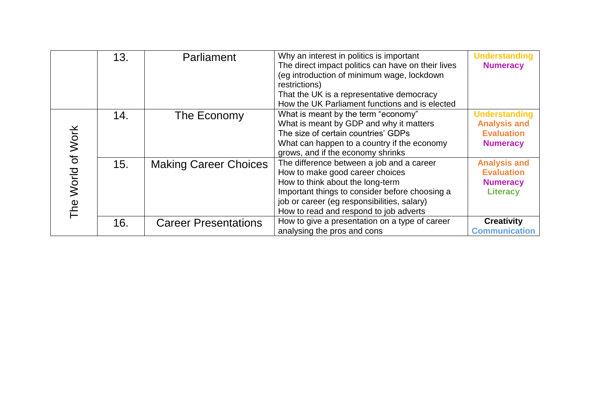|                                   | 13. | Parliament                   | Why an interest in politics is important<br>The direct impact politics can have on their lives<br>(eg introduction of minimum wage, lockdown<br>restrictions)<br>That the UK is a representative democracy<br>How the UK Parliament functions and is elected | <b>Understanding</b><br><b>Numeracy</b>                                             |
|-----------------------------------|-----|------------------------------|--------------------------------------------------------------------------------------------------------------------------------------------------------------------------------------------------------------------------------------------------------------|-------------------------------------------------------------------------------------|
|                                   | 14. | The Economy                  | What is meant by the term "economy"<br>What is meant by GDP and why it matters<br>The size of certain countries' GDPs<br>What can happen to a country if the economy<br>grows, and if the economy shrinks                                                    | <b>Understanding</b><br><b>Analysis and</b><br><b>Evaluation</b><br><b>Numeracy</b> |
| World of Work<br>The <sup>1</sup> | 15. | <b>Making Career Choices</b> | The difference between a job and a career<br>How to make good career choices<br>How to think about the long-term<br>Important things to consider before choosing a<br>job or career (eg responsibilities, salary)<br>How to read and respond to job adverts  | <b>Analysis and</b><br><b>Evaluation</b><br><b>Numeracy</b><br><b>Literacy</b>      |
|                                   | 16. | <b>Career Presentations</b>  | How to give a presentation on a type of career<br>analysing the pros and cons                                                                                                                                                                                | <b>Creativity</b><br><b>Communication</b>                                           |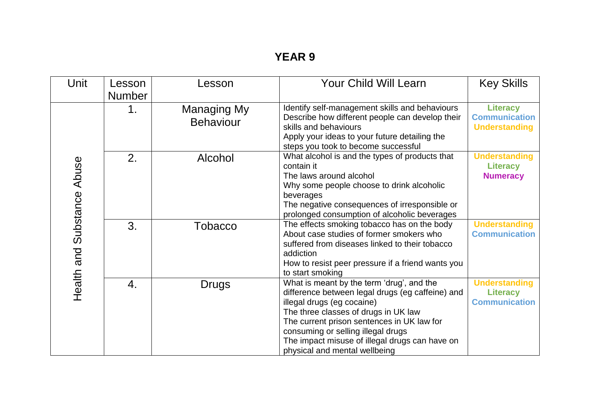| Unit                       | Lesson        | Lesson           | <b>Your Child Will Learn</b>                                 | <b>Key Skills</b>                       |
|----------------------------|---------------|------------------|--------------------------------------------------------------|-----------------------------------------|
|                            | <b>Number</b> |                  |                                                              |                                         |
|                            | 1.            | Managing My      | Identify self-management skills and behaviours               | <b>Literacy</b>                         |
|                            |               | <b>Behaviour</b> | Describe how different people can develop their              | <b>Communication</b>                    |
|                            |               |                  | skills and behaviours                                        | <b>Understanding</b>                    |
|                            |               |                  | Apply your ideas to your future detailing the                |                                         |
|                            |               |                  | steps you took to become successful                          |                                         |
| Health and Substance Abuse | 2.            | Alcohol          | What alcohol is and the types of products that<br>contain it | <b>Understanding</b><br><b>Literacy</b> |
|                            |               |                  | The laws around alcohol                                      | <b>Numeracy</b>                         |
|                            |               |                  | Why some people choose to drink alcoholic                    |                                         |
|                            |               |                  | beverages                                                    |                                         |
|                            |               |                  | The negative consequences of irresponsible or                |                                         |
|                            |               |                  | prolonged consumption of alcoholic beverages                 |                                         |
|                            | 3.            | Tobacco          | The effects smoking tobacco has on the body                  | <b>Understanding</b>                    |
|                            |               |                  | About case studies of former smokers who                     | <b>Communication</b>                    |
|                            |               |                  | suffered from diseases linked to their tobacco               |                                         |
|                            |               |                  | addiction                                                    |                                         |
|                            |               |                  | How to resist peer pressure if a friend wants you            |                                         |
|                            |               |                  | to start smoking                                             |                                         |
|                            | 4.            | Drugs            | What is meant by the term 'drug', and the                    | <b>Understanding</b>                    |
|                            |               |                  | difference between legal drugs (eg caffeine) and             | <b>Literacy</b>                         |
|                            |               |                  | illegal drugs (eg cocaine)                                   | <b>Communication</b>                    |
|                            |               |                  | The three classes of drugs in UK law                         |                                         |
|                            |               |                  | The current prison sentences in UK law for                   |                                         |
|                            |               |                  | consuming or selling illegal drugs                           |                                         |
|                            |               |                  | The impact misuse of illegal drugs can have on               |                                         |
|                            |               |                  | physical and mental wellbeing                                |                                         |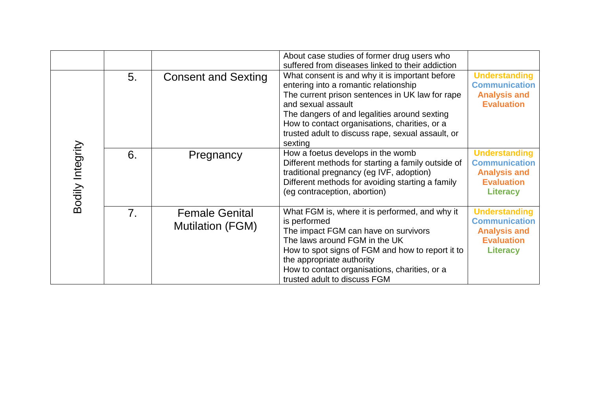|                  |    |                                                  | About case studies of former drug users who<br>suffered from diseases linked to their addiction                                                                                                                                                                                                                                   |                                                                                                             |
|------------------|----|--------------------------------------------------|-----------------------------------------------------------------------------------------------------------------------------------------------------------------------------------------------------------------------------------------------------------------------------------------------------------------------------------|-------------------------------------------------------------------------------------------------------------|
| Bodily Integrity | 5. | <b>Consent and Sexting</b>                       | What consent is and why it is important before<br>entering into a romantic relationship<br>The current prison sentences in UK law for rape<br>and sexual assault<br>The dangers of and legalities around sexting<br>How to contact organisations, charities, or a<br>trusted adult to discuss rape, sexual assault, or<br>sexting | <b>Understanding</b><br><b>Communication</b><br><b>Analysis and</b><br><b>Evaluation</b>                    |
|                  | 6. | Pregnancy                                        | How a foetus develops in the womb<br>Different methods for starting a family outside of<br>traditional pregnancy (eg IVF, adoption)<br>Different methods for avoiding starting a family<br>(eg contraception, abortion)                                                                                                           | <b>Understanding</b><br><b>Communication</b><br><b>Analysis and</b><br><b>Evaluation</b><br><b>Literacy</b> |
|                  | 7. | <b>Female Genital</b><br><b>Mutilation (FGM)</b> | What FGM is, where it is performed, and why it<br>is performed<br>The impact FGM can have on survivors<br>The laws around FGM in the UK<br>How to spot signs of FGM and how to report it to<br>the appropriate authority<br>How to contact organisations, charities, or a<br>trusted adult to discuss FGM                         | <b>Understanding</b><br><b>Communication</b><br><b>Analysis and</b><br><b>Evaluation</b><br><b>Literacy</b> |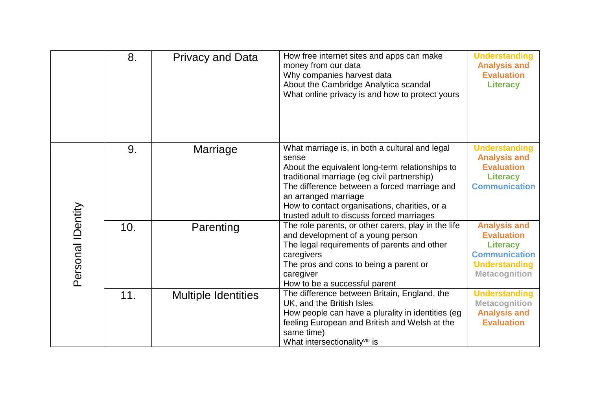|                   | 8.  | <b>Privacy and Data</b>    | How free internet sites and apps can make<br>money from our data<br>Why companies harvest data<br>About the Cambridge Analytica scandal<br>What online privacy is and how to protect yours                                                                                                                                      | <b>Understanding</b><br><b>Analysis and</b><br><b>Evaluation</b><br><b>Literacy</b>                                                 |
|-------------------|-----|----------------------------|---------------------------------------------------------------------------------------------------------------------------------------------------------------------------------------------------------------------------------------------------------------------------------------------------------------------------------|-------------------------------------------------------------------------------------------------------------------------------------|
|                   | 9.  | Marriage                   | What marriage is, in both a cultural and legal<br>sense<br>About the equivalent long-term relationships to<br>traditional marriage (eg civil partnership)<br>The difference between a forced marriage and<br>an arranged marriage<br>How to contact organisations, charities, or a<br>trusted adult to discuss forced marriages | <b>Understanding</b><br><b>Analysis and</b><br><b>Evaluation</b><br><b>Literacy</b><br><b>Communication</b>                         |
| Personal IDentity | 10. | Parenting                  | The role parents, or other carers, play in the life<br>and development of a young person<br>The legal requirements of parents and other<br>caregivers<br>The pros and cons to being a parent or<br>caregiver<br>How to be a successful parent                                                                                   | <b>Analysis and</b><br><b>Evaluation</b><br><b>Literacy</b><br><b>Communication</b><br><b>Understanding</b><br><b>Metacognition</b> |
|                   | 11. | <b>Multiple Identities</b> | The difference between Britain, England, the<br>UK, and the British Isles<br>How people can have a plurality in identities (eg<br>feeling European and British and Welsh at the<br>same time)<br>What intersectionality <sup>viii</sup> is                                                                                      | <b>Understanding</b><br><b>Metacognition</b><br><b>Analysis and</b><br><b>Evaluation</b>                                            |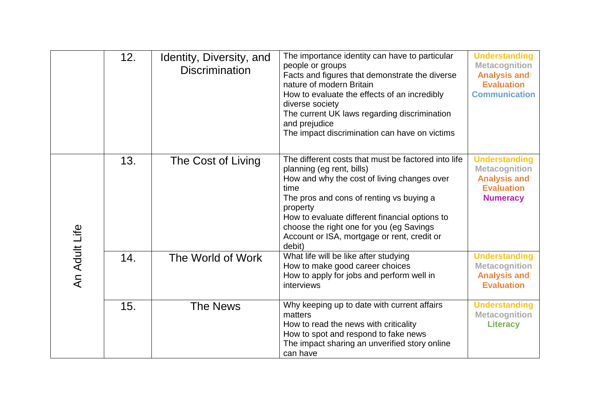|               | 12. | Identity, Diversity, and<br><b>Discrimination</b> | The importance identity can have to particular<br>people or groups<br>Facts and figures that demonstrate the diverse<br>nature of modern Britain<br>How to evaluate the effects of an incredibly<br>diverse society<br>The current UK laws regarding discrimination<br>and prejudice<br>The impact discrimination can have on victims                  | <b>Understanding</b><br><b>Metacognition</b><br><b>Analysis and</b><br><b>Evaluation</b><br><b>Communication</b> |
|---------------|-----|---------------------------------------------------|--------------------------------------------------------------------------------------------------------------------------------------------------------------------------------------------------------------------------------------------------------------------------------------------------------------------------------------------------------|------------------------------------------------------------------------------------------------------------------|
| An Adult Life | 13. | The Cost of Living                                | The different costs that must be factored into life<br>planning (eg rent, bills)<br>How and why the cost of living changes over<br>time<br>The pros and cons of renting vs buying a<br>property<br>How to evaluate different financial options to<br>choose the right one for you (eg Savings<br>Account or ISA, mortgage or rent, credit or<br>debit) | <b>Understanding</b><br><b>Metacognition</b><br><b>Analysis and</b><br><b>Evaluation</b><br><b>Numeracy</b>      |
|               | 14. | The World of Work                                 | What life will be like after studying<br>How to make good career choices<br>How to apply for jobs and perform well in<br>interviews                                                                                                                                                                                                                    | <b>Understanding</b><br><b>Metacognition</b><br><b>Analysis and</b><br><b>Evaluation</b>                         |
|               | 15. | <b>The News</b>                                   | Why keeping up to date with current affairs<br>matters<br>How to read the news with criticality<br>How to spot and respond to fake news<br>The impact sharing an unverified story online<br>can have                                                                                                                                                   | <b>Understanding</b><br><b>Metacognition</b><br><b>Literacy</b>                                                  |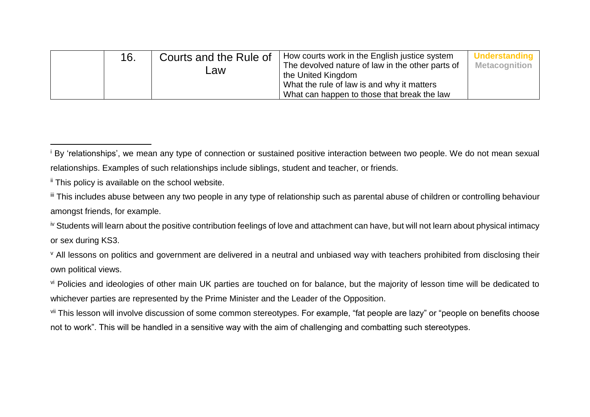|  | 16. | Courts and the Rule of<br>∟aw | How courts work in the English justice system<br>The devolved nature of law in the other parts of<br>the United Kingdom<br>What the rule of law is and why it matters<br>What can happen to those that break the law | <b>Understanding</b><br><b>Metacognition</b> |
|--|-----|-------------------------------|----------------------------------------------------------------------------------------------------------------------------------------------------------------------------------------------------------------------|----------------------------------------------|
|--|-----|-------------------------------|----------------------------------------------------------------------------------------------------------------------------------------------------------------------------------------------------------------------|----------------------------------------------|

-

<sup>v</sup> All lessons on politics and government are delivered in a neutral and unbiased way with teachers prohibited from disclosing their own political views.

vi Policies and ideologies of other main UK parties are touched on for balance, but the majority of lesson time will be dedicated to whichever parties are represented by the Prime Minister and the Leader of the Opposition.

vii This lesson will involve discussion of some common stereotypes. For example, "fat people are lazy" or "people on benefits choose not to work". This will be handled in a sensitive way with the aim of challenging and combatting such stereotypes.

<sup>&</sup>lt;sup>i</sup> By 'relationships', we mean any type of connection or sustained positive interaction between two people. We do not mean sexual relationships. Examples of such relationships include siblings, student and teacher, or friends.

ii This policy is available on the school website.

iii This includes abuse between any two people in any type of relationship such as parental abuse of children or controlling behaviour amongst friends, for example.

iv Students will learn about the positive contribution feelings of love and attachment can have, but will not learn about physical intimacy or sex during KS3.